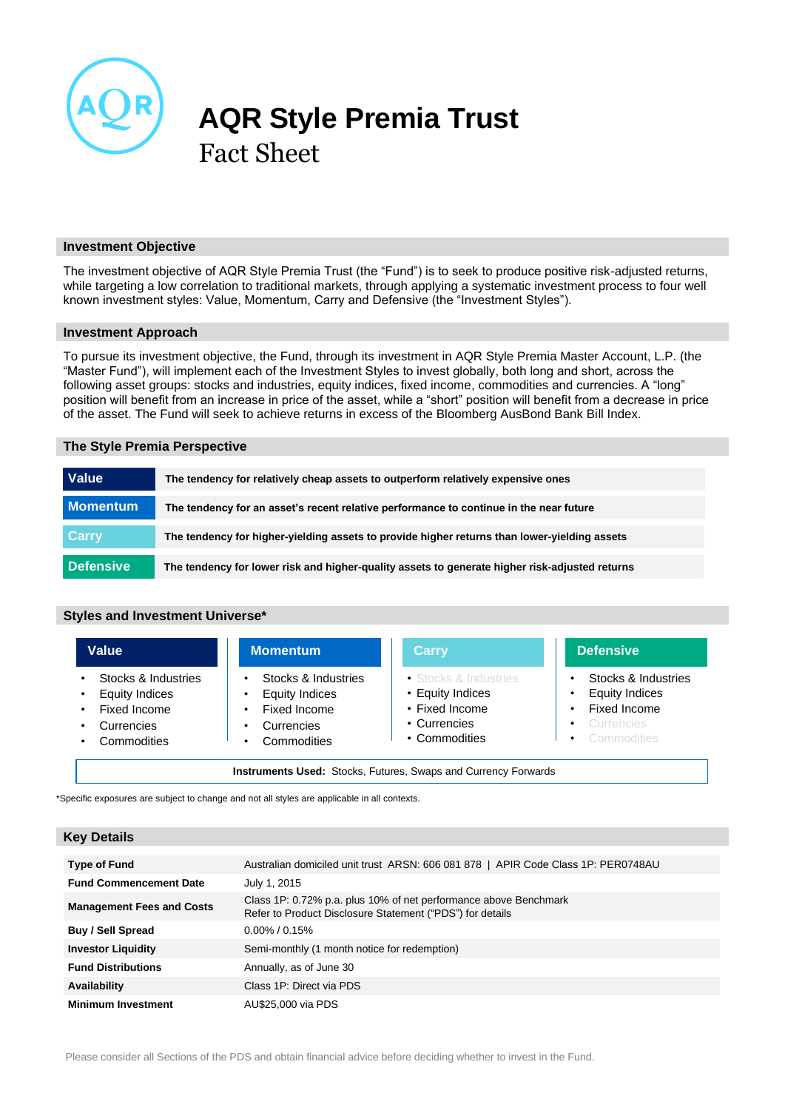

# **AQR Style Premia Trust** Fact Sheet

# **Investment Objective**

The investment objective of AQR Style Premia Trust (the "Fund") is to seek to produce positive risk-adjusted returns, while targeting a low correlation to traditional markets, through applying a systematic investment process to four well known investment styles: Value, Momentum, Carry and Defensive (the "Investment Styles").

### **Investment Approach**

To pursue its investment objective, the Fund, through its investment in AQR Style Premia Master Account, L.P. (the "Master Fund"), will implement each of the Investment Styles to invest globally, both long and short, across the following asset groups: stocks and industries, equity indices, fixed income, commodities and currencies. A "long" position will benefit from an increase in price of the asset, while a "short" position will benefit from a decrease in price of the asset. The Fund will seek to achieve returns in excess of the Bloomberg AusBond Bank Bill Index.

#### **The Style Premia Perspective**

| <b>Value</b>    | The tendency for relatively cheap assets to outperform relatively expensive ones               |
|-----------------|------------------------------------------------------------------------------------------------|
| <b>Momentum</b> | The tendency for an asset's recent relative performance to continue in the near future         |
| <b>Carry</b>    | The tendency for higher-yielding assets to provide higher returns than lower-yielding assets   |
| Defensive       | The tendency for lower risk and higher-quality assets to generate higher risk-adjusted returns |

# **Styles and Investment Universe\***

| Value                                                                                     | <b>Momentum</b>                                                                    | <b>Carry</b>                                                                                 | <b>Defensive</b>                                                                                                                 |
|-------------------------------------------------------------------------------------------|------------------------------------------------------------------------------------|----------------------------------------------------------------------------------------------|----------------------------------------------------------------------------------------------------------------------------------|
| Stocks & Industries<br><b>Equity Indices</b><br>Fixed Income<br>Currencies<br>Commodities | Stocks & Industries<br>Equity Indices<br>Fixed Income<br>Currencies<br>Commodities | • Stocks & Industries<br>• Equity Indices<br>• Fixed Income<br>• Currencies<br>• Commodities | Stocks & Industries<br><b>Equity Indices</b><br>Fixed Income<br>$\bullet$<br>Currencies<br>$\bullet$<br>Commodities<br>$\bullet$ |

\*Specific exposures are subject to change and not all styles are applicable in all contexts.

# **Key Details**

| Type of Fund                     | Australian domiciled unit trust ARSN: 606 081 878   APIR Code Class 1P: PER0748AU                                             |
|----------------------------------|-------------------------------------------------------------------------------------------------------------------------------|
| <b>Fund Commencement Date</b>    | July 1, 2015                                                                                                                  |
| <b>Management Fees and Costs</b> | Class 1P: 0.72% p.a. plus 10% of net performance above Benchmark<br>Refer to Product Disclosure Statement ("PDS") for details |
| Buy / Sell Spread                | $0.00\%$ / 0.15%                                                                                                              |
| <b>Investor Liquidity</b>        | Semi-monthly (1 month notice for redemption)                                                                                  |
| <b>Fund Distributions</b>        | Annually, as of June 30                                                                                                       |
| Availability                     | Class 1P: Direct via PDS                                                                                                      |
| <b>Minimum Investment</b>        | AU\$25,000 via PDS                                                                                                            |